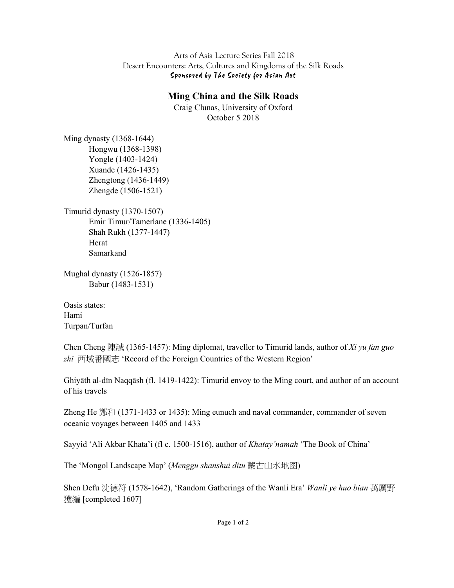Arts of Asia Lecture Series Fall 2018 Desert Encounters: Arts, Cultures and Kingdoms of the Silk Roads Sponsored by The Society for Asian Art

## **Ming China and the Silk Roads**

Craig Clunas, University of Oxford October 5 2018

Ming dynasty (1368-1644) Hongwu (1368-1398) Yongle (1403-1424) Xuande (1426-1435) Zhengtong (1436-1449) Zhengde (1506-1521)

Timurid dynasty (1370-1507) Emir Timur/Tamerlane (1336-1405) Shāh Rukh (1377-1447) Herat Samarkand

Mughal dynasty (1526-1857) Babur (1483-1531)

Oasis states: Hami Turpan/Turfan

Chen Cheng (1365-1457): Ming diplomat, traveller to Timurid lands, author of *Xi yu fan guo*  zhi 西域番國志 'Record of the Foreign Countries of the Western Region'

Ghiyāth al-dīn Naqqāsh (fl. 1419-1422): Timurid envoy to the Ming court, and author of an account of his travels

Zheng He 鄭和 (1371-1433 or 1435): Ming eunuch and naval commander, commander of seven oceanic voyages between 1405 and 1433

Sayyid 'Ali Akbar Khata'i (fl c. 1500-1516), author of *Khatay'namah* 'The Book of China'

The 'Mongol Landscape Map' (Menggu shanshui ditu 蒙古山水地图)

Shen Defu 沈德符 (1578-1642), 'Random Gatherings of the Wanli Era' *Wanli ye huo bian* 萬厲野 獲編 [completed 1607]